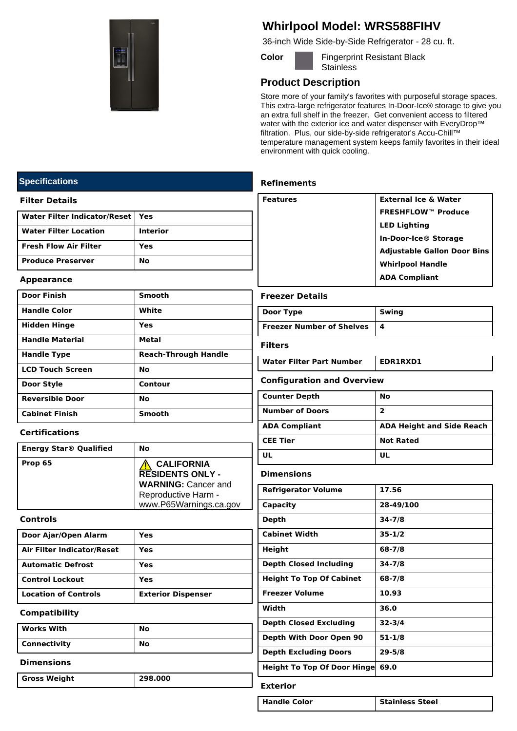

## **Whirlpool Model: WRS588FIHV**

36-inch Wide Side-by-Side Refrigerator - 28 cu. ft.

**Color Fingerprint Resistant Black Stainless** 

## **Product Description**

Store more of your family's favorites with purposeful storage spaces. This extra-large refrigerator features In-Door-Ice® storage to give you an extra full shelf in the freezer. Get convenient access to filtered water with the exterior ice and water dispenser with EveryDrop™ filtration. Plus, our side-by-side refrigerator's Accu-Chill™ temperature management system keeps family favorites in their ideal environment with quick cooling.

### **Refinements**

| Features | <b>External Ice &amp; Water</b>    |
|----------|------------------------------------|
|          | <b>FRESHFLOW™ Produce</b>          |
|          | <b>LED Lighting</b>                |
|          | In-Door-Ice® Storage               |
|          | <b>Adjustable Gallon Door Bins</b> |
|          | <b>Whirlpool Handle</b>            |
|          | <b>ADA Compliant</b>               |
|          |                                    |

#### **Freezer Details**

| Door Type                            | Swing |
|--------------------------------------|-------|
| <b>Freezer Number of Shelves   4</b> |       |

#### **Filters**

| EDR1RXD1<br>Water Filter Part Number |
|--------------------------------------|
|--------------------------------------|

#### **Configuration and Overview**

| <b>Counter Depth</b>   | No                               |
|------------------------|----------------------------------|
| <b>Number of Doors</b> | 2                                |
| <b>ADA Compliant</b>   | <b>ADA Height and Side Reach</b> |
| <b>CEE Tier</b>        | <b>Not Rated</b>                 |
| UL                     | UL                               |

#### **Dimensions**

| <b>Refrigerator Volume</b>         | 17.56      |
|------------------------------------|------------|
| Capacity                           | 28-49/100  |
| Depth                              | $34 - 7/8$ |
| <b>Cabinet Width</b>               | $35 - 1/2$ |
| Height                             | $68 - 7/8$ |
| <b>Depth Closed Including</b>      | $34 - 7/8$ |
| <b>Height To Top Of Cabinet</b>    | 68-7/8     |
| <b>Freezer Volume</b>              | 10.93      |
| Width                              | 36.0       |
| <b>Depth Closed Excluding</b>      | $32 - 3/4$ |
| Depth With Door Open 90            | $51 - 1/8$ |
| <b>Depth Excluding Doors</b>       | $29 - 5/8$ |
| <b>Height To Top Of Door Hinge</b> | 69.0       |
| -------                            |            |

### **Exterior**

**Handle Color Stainless Steel**

## **Specifications**

#### **Filter Details**

| Water Filter Indicator/Reset   Yes |                 |
|------------------------------------|-----------------|
| <b>Water Filter Location</b>       | <b>Interior</b> |
| l Fresh Flow Air Filter            | Yes             |
| <b>Produce Preserver</b>           | No              |

#### **Appearance**

| <b>Door Finish</b>      | <b>Smooth</b>               |
|-------------------------|-----------------------------|
| <b>Handle Color</b>     | White                       |
| <b>Hidden Hinge</b>     | Yes                         |
| <b>Handle Material</b>  | Metal                       |
| <b>Handle Type</b>      | <b>Reach-Through Handle</b> |
| <b>LCD Touch Screen</b> | <b>No</b>                   |
| Door Style              | Contour                     |
| <b>Reversible Door</b>  | No                          |
| <b>Cabinet Finish</b>   | <b>Smooth</b>               |

### **Certifications**

| <b>Energy Star® Qualified</b> | No                                                                                                                          |
|-------------------------------|-----------------------------------------------------------------------------------------------------------------------------|
| Prop 65                       | <b>CALIFORNIA</b><br><b>RESIDENTS ONLY -</b><br><b>WARNING: Cancer and</b><br>Reproductive Harm -<br>www.P65Warnings.ca.gov |

#### **Controls**

| Door Ajar/Open Alarm        | Yes                       |
|-----------------------------|---------------------------|
| Air Filter Indicator/Reset  | Yes                       |
| <b>Automatic Defrost</b>    | Yes                       |
| <b>Control Lockout</b>      | Yes                       |
| <b>Location of Controls</b> | <b>Exterior Dispenser</b> |

#### **Compatibility**

| <b>Works With</b> | No        |
|-------------------|-----------|
| Connectivity      | <b>No</b> |

#### **Dimensions**

**Gross Weight 298.000**